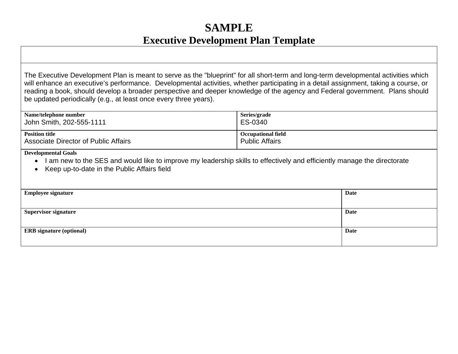## **SAMPLE Executive Development Plan Template**

The Executive Development Plan is meant to serve as the "blueprint" for all short-term and long-term developmental activities which will enhance an executive's performance. Developmental activities, whether participating in a detail assignment, taking a course, or reading a book, should develop a broader perspective and deeper knowledge of the agency and Federal government. Plans should be updated periodically (e.g., at least once every three years).

| Name/telephone number                       | Series/grade              |
|---------------------------------------------|---------------------------|
| John Smith, 202-555-1111                    | ES-0340                   |
| <b>Position title</b>                       | <b>Occupational field</b> |
| <b>Associate Director of Public Affairs</b> | <b>Public Affairs</b>     |

**Developmental Goals** 

- I am new to the SES and would like to improve my leadership skills to effectively and efficiently manage the directorate
- Keep up-to-date in the Public Affairs field

| <b>Employee signature</b>       | Date        |
|---------------------------------|-------------|
| <b>Supervisor signature</b>     | <b>Date</b> |
| <b>ERB</b> signature (optional) | Date        |